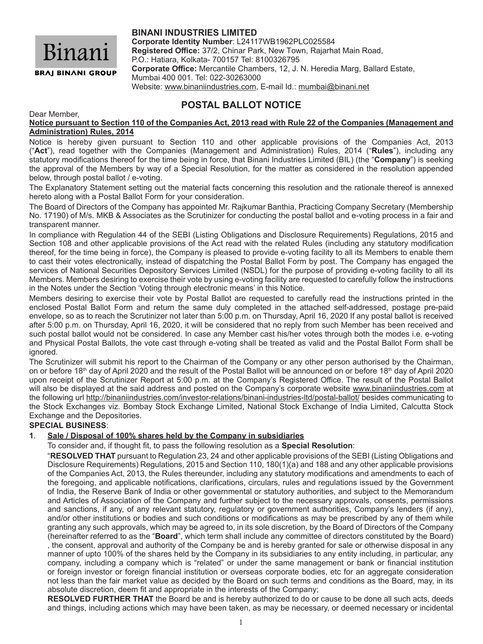

# **BINANI INDUSTRIES LIMITED**

**Corporate Identity Number**: L24117WB1962PLC025584 **Registered Office:** 37/2, Chinar Park, New Town, Rajarhat Main Road, P.O.: Hatiara, Kolkata- 700157 Tel: 8100326795 **Corporate Office:** Mercantile Chambers, 12, J. N. Heredia Marg, Ballard Estate, Mumbai 400 001. Tel: 022-30263000 Website: www.binaniindustries.com, E-mail Id.: mumbai@binani.net

# **POSTAL BALLOT NOTICE**

Dear Member,

**Notice pursuant to Section 110 of the Companies Act, 2013 read with Rule 22 of the Companies (Management and Administration) Rules, 2014**

Notice is hereby given pursuant to Section 110 and other applicable provisions of the Companies Act, 2013 ("**Act**"), read together with the Companies (Management and Administration) Rules, 2014 ("**Rules**"), including any statutory modifications thereof for the time being in force, that Binani Industries Limited (BIL) (the "**Company**") is seeking the approval of the Members by way of a Special Resolution, for the matter as considered in the resolution appended below, through postal ballot / e-voting.

The Explanatory Statement setting out the material facts concerning this resolution and the rationale thereof is annexed hereto along with a Postal Ballot Form for your consideration.

The Board of Directors of the Company has appointed Mr. Rajkumar Banthia, Practicing Company Secretary (Membership No. 17190) of M/s. MKB & Associates as the Scrutinizer for conducting the postal ballot and e-voting process in a fair and transparent manner.

In compliance with Regulation 44 of the SEBI (Listing Obligations and Disclosure Requirements) Regulations, 2015 and Section 108 and other applicable provisions of the Act read with the related Rules (including any statutory modification thereof, for the time being in force), the Company is pleased to provide e-voting facility to all its Members to enable them to cast their votes electronically, instead of dispatching the Postal Ballot Form by post. The Company has engaged the services of National Securities Depository Services Limited (NSDL) for the purpose of providing e-voting facility to all its Members. Members desiring to exercise their vote by using e-voting facility are requested to carefully follow the instructions in the Notes under the Section 'Voting through electronic means' in this Notice.

Members desiring to exercise their vote by Postal Ballot are requested to carefully read the instructions printed in the enclosed Postal Ballot Form and return the same duly completed in the attached self-addressed, postage pre-paid envelope, so as to reach the Scrutinizer not later than 5:00 p.m. on Thursday, April 16, 2020 If any postal ballot is received after 5:00 p.m. on Thursday, April 16, 2020, it will be considered that no reply from such Member has been received and such postal ballot would not be considered. In case any Member cast his/her votes through both the modes i.e. e-voting and Physical Postal Ballots, the vote cast through e-voting shall be treated as valid and the Postal Ballot Form shall be ignored.

The Scrutinizer will submit his report to the Chairman of the Company or any other person authorised by the Chairman, on or before 18<sup>th</sup> day of April 2020 and the result of the Postal Ballot will be announced on or before 18<sup>th</sup> day of April 2020 upon receipt of the Scrutinizer Report at 5:00 p.m. at the Company's Registered Office. The result of the Postal Ballot will also be displayed at the said address and posted on the Company's corporate website www.binaniindustries.com at the following url http://binaniindustries.com/investor-relations/binani-industries-ltd/postal-ballot/ besides communicating to the Stock Exchanges viz. Bombay Stock Exchange Limited, National Stock Exchange of India Limited, Calcutta Stock Exchange and the Depositories.

# **SPECIAL BUSINESS**:

# **1**. **Sale / Disposal of 100% shares held by the Company in subsidiaries**

To consider and, if thought fit, to pass the following resolution as a **Special Resolution**:

"**RESOLVED THAT** pursuant to Regulation 23, 24 and other applicable provisions of the SEBI (Listing Obligations and Disclosure Requirements) Regulations, 2015 and Section 110, 180(1)(a) and 188 and any other applicable provisions of the Companies Act, 2013, the Rules thereunder, including any statutory modifications and amendments to each of the foregoing, and applicable notifications, clarifications, circulars, rules and regulations issued by the Government of India, the Reserve Bank of India or other governmental or statutory authorities, and subject to the Memorandum and Articles of Association of the Company and further subject to the necessary approvals, consents, permissions and sanctions, if any, of any relevant statutory, regulatory or government authorities, Company's lenders (if any), and/or other institutions or bodies and such conditions or modifications as may be prescribed by any of them while granting any such approvals, which may be agreed to, in its sole discretion, by the Board of Directors of the Company (hereinafter referred to as the "**Board**", which term shall include any committee of directors constituted by the Board) , the consent, approval and authority of the Company be and is hereby granted for sale or otherwise disposal in any manner of upto 100% of the shares held by the Company in its subsidiaries to any entity including, in particular, any company, including a company which is "related" or under the same management or bank or financial institution or foreign investor or foreign financial institution or overseas corporate bodies, etc for an aggregate consideration not less than the fair market value as decided by the Board on such terms and conditions as the Board, may, in its absolute discretion, deem fit and appropriate in the interests of the Company;

**RESOLVED FURTHER THAT** the Board be and is hereby authorized to do or cause to be done all such acts, deeds and things, including actions which may have been taken, as may be necessary, or deemed necessary or incidental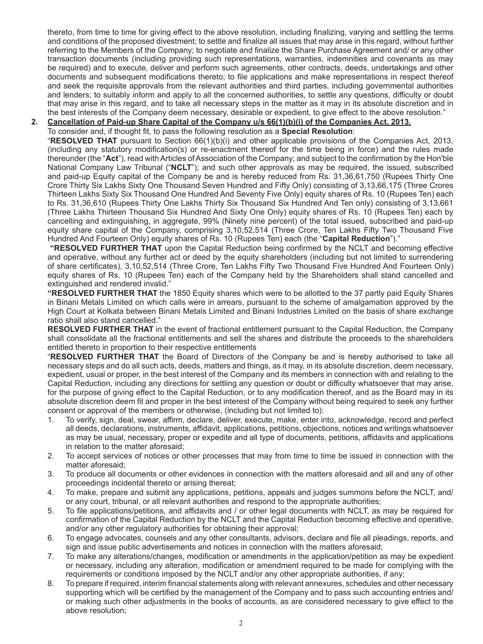thereto, from time to time for giving effect to the above resolution, including finalizing, varying and settling the terms and conditions of the proposed divestment; to settle and finalize all issues that may arise in this regard, without further referring to the Members of the Company; to negotiate and finalize the Share Purchase Agreement and/ or any other transaction documents (including providing such representations, warranties, indemnities and covenants as may be required) and to execute, deliver and perform such agreements, other contracts, deeds, undertakings and other documents and subsequent modifications thereto; to file applications and make representations in respect thereof and seek the requisite approvals from the relevant authorities and third parties, including governmental authorities and lenders; to suitably inform and apply to all the concerned authorities, to settle any questions, difficulty or doubt that may arise in this regard, and to take all necessary steps in the matter as it may in its absolute discretion and in the best interests of the Company deem necessary, desirable or expedient, to give effect to the above resolution."

## **2. Cancellation of Paid-up Share Capital of the Company u/s 66(1)(b)(i) of the Companies Act, 2013.**

To consider and, if thought fit, to pass the following resolution as a **Special Resolution**:

"**RESOLVED THAT** pursuant to Section 66(1)(b)(i) and other applicable provisions of the Companies Act, 2013, (including any statutory modification(s) or re-enactment thereof for the time being in force) and the rules made thereunder (the "Act"), read with Articles of Association of the Company; and subject to the confirmation by the Hon'ble National Company Law Tribunal ("**NCLT**"); and such other approvals as may be required, the issued, subscribed and paid-up Equity capital of the Company be and is hereby reduced from Rs. 31,36,61,750 (Rupees Thirty One Crore Thirty Six Lakhs Sixty One Thousand Seven Hundred and Fifty Only) consisting of 3,13,66,175 (Three Crores Thirteen Lakhs Sixty Six Thousand One Hundred And Seventy Five Only) equity shares of Rs. 10 (Rupees Ten) each to Rs. 31,36,610 (Rupees Thirty One Lakhs Thirty Six Thousand Six Hundred And Ten only) consisting of 3,13,661 (Three Lakhs Thirteen Thousand Six Hundred And Sixty One Only) equity shares of Rs. 10 (Rupees Ten) each by cancelling and extinguishing, in aggregate, 99% (Ninety nine percent) of the total issued, subscribed and paid-up equity share capital of the Company, comprising 3,10,52,514 (Three Crore, Ten Lakhs Fifty Two Thousand Five Hundred And Fourteen Only) equity shares of Rs. 10 (Rupees Ten) each (the "**Capital Reduction**")."

 **"RESOLVED FURTHER THAT** upon the Capital Reduction being confirmed by the NCLT and becoming effective and operative, without any further act or deed by the equity shareholders (including but not limited to surrendering of share certificates), 3,10,52,514 (Three Crore, Ten Lakhs Fifty Two Thousand Five Hundred And Fourteen Only) equity shares of Rs. 10 (Rupees Ten) each of the Company held by the Shareholders shall stand cancelled and extinguished and rendered invalid."

**"RESOLVED FURTHER THAT** the 1850 Equity shares which were to be allotted to the 37 partly paid Equity Shares in Binani Metals Limited on which calls were in arrears, pursuant to the scheme of amalgamation approved by the High Court at Kolkata between Binani Metals Limited and Binani Industries Limited on the basis of share exchange ratio shall also stand cancelled."

**RESOLVED FURTHER THAT** in the event of fractional entitlement pursuant to the Capital Reduction, the Company shall consolidate all the fractional entitlements and sell the shares and distribute the proceeds to the shareholders entitled thereto in proportion to their respective entitlements

"**RESOLVED FURTHER THAT** the Board of Directors of the Company be and is hereby authorised to take all necessary steps and do all such acts, deeds, matters and things, as it may, in its absolute discretion, deem necessary, expedient, usual or proper, in the best interest of the Company and its members in connection with and relating to the Capital Reduction, including any directions for settling any question or doubt or difficulty whatsoever that may arise, for the purpose of giving effect to the Capital Reduction, or to any modification thereof, and as the Board may in its absolute discretion deem fit and proper in the best interest of the Company without being required to seek any further consent or approval of the members or otherwise, (including but not limited to):

- 1. To verify, sign, deal, swear, affirm, declare, deliver, execute, make, enter into, acknowledge, record and perfect all deeds, declarations, instruments, affidavit, applications, petitions, objections, notices and writings whatsoever as may be usual, necessary, proper or expedite and all type of documents, petitions, affidavits and applications in relation to the matter aforesaid;
- 2. To accept services of notices or other processes that may from time to time be issued in connection with the matter aforesaid;
- 3. To produce all documents or other evidences in connection with the matters aforesaid and all and any of other proceedings incidental thereto or arising thereat;
- 4. To make, prepare and submit any applications, petitions, appeals and judges summons before the NCLT, and/ or any court, tribunal, or all relevant authorities and respond to the appropriate authorities;
- 5. To file applications/petitions, and affidavits and / or other legal documents with NCLT, as may be required for confirmation of the Capital Reduction by the NCLT and the Capital Reduction becoming effective and operative, and/or any other regulatory authorities for obtaining their approval;
- 6. To engage advocates, counsels and any other consultants, advisors, declare and file all pleadings, reports, and sign and issue public advertisements and notices in connection with the matters aforesaid;
- 7. To make any alterations/changes, modification or amendments in the application/petition as may be expedient or necessary, including any alteration, modification or amendment required to be made for complying with the requirements or conditions imposed by the NCLT and/or any other appropriate authorities, if any;
- 8. To prepare if required, interim financial statements along with relevant annexures, schedules and other necessary supporting which will be certified by the management of the Company and to pass such accounting entries and/ or making such other adjustments in the books of accounts, as are considered necessary to give effect to the above resolution;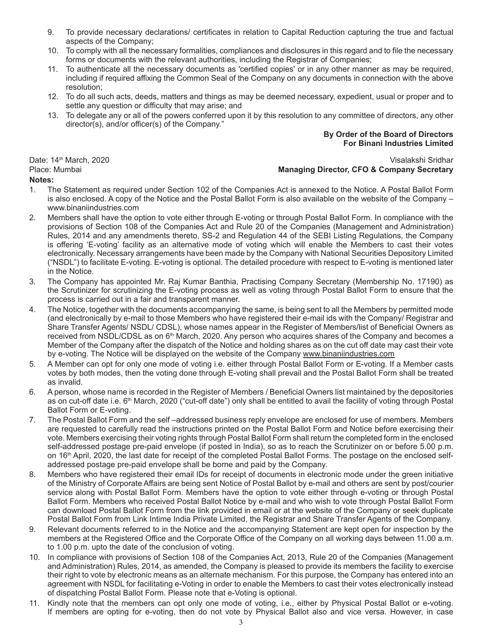- 9. To provide necessary declarations/ certificates in relation to Capital Reduction capturing the true and factual aspects of the Company;
- 10. To comply with all the necessary formalities, compliances and disclosures in this regard and to file the necessary forms or documents with the relevant authorities, including the Registrar of Companies;
- 11. To authenticate all the necessary documents as 'certified copies' or in any other manner as may be required, including if required affixing the Common Seal of the Company on any documents in connection with the above resolution;
- 12. To do all such acts, deeds, matters and things as may be deemed necessary, expedient, usual or proper and to settle any question or difficulty that may arise; and
- 13. To delegate any or all of the powers conferred upon it by this resolution to any committee of directors, any other director(s), and/or officer(s) of the Company."

#### **By Order of the Board of Directors For Binani Industries Limited**

#### **Notes:**

# Date: 14th March, 2020 Visalakshi Sridhar Place: Mumbai **Managing Director, CFO & Company Secretary**

- 1. The Statement as required under Section 102 of the Companies Act is annexed to the Notice. A Postal Ballot Form is also enclosed. A copy of the Notice and the Postal Ballot Form is also available on the website of the Company – www.binaniindustries.com
- 2. Members shall have the option to vote either through E-voting or through Postal Ballot Form. In compliance with the provisions of Section 108 of the Companies Act and Rule 20 of the Companies (Management and Administration) Rules, 2014 and any amendments thereto, SS-2 and Regulation 44 of the SEBI Listing Regulations, the Company is offering 'E-voting' facility as an alternative mode of voting which will enable the Members to cast their votes electronically. Necessary arrangements have been made by the Company with National Securities Depository Limited ("NSDL") to facilitate E-voting. E-voting is optional. The detailed procedure with respect to E-voting is mentioned later in the Notice.
- 3. The Company has appointed Mr. Raj Kumar Banthia, Practising Company Secretary (Membership No. 17190) as the Scrutinizer for scrutinizing the E-voting process as well as voting through Postal Ballot Form to ensure that the process is carried out in a fair and transparent manner.
- 4. The Notice, together with the documents accompanying the same, is being sent to all the Members by permitted mode (and electronically by e-mail to those Members who have registered their e-mail ids with the Company/ Registrar and Share Transfer Agents/ NSDL/ CDSL), whose names appear in the Register of Members/list of Beneficial Owners as received from NSDL/CDSL as on 6<sup>th</sup> March, 2020. Any person who acquires shares of the Company and becomes a Member of the Company after the dispatch of the Notice and holding shares as on the cut off date may cast their vote by e-voting. The Notice will be displayed on the website of the Company www.binaniindustries.com
- 5. A Member can opt for only one mode of voting i.e. either through Postal Ballot Form or E-voting. If a Member casts votes by both modes, then the voting done through E-voting shall prevail and the Postal Ballot Form shall be treated as invalid.
- 6. A person, whose name is recorded in the Register of Members / Beneficial Owners list maintained by the depositories as on cut-off date i.e. 6<sup>th</sup> March, 2020 ("cut-off date") only shall be entitled to avail the facility of voting through Postal Ballot Form or E-voting.
- 7. The Postal Ballot Form and the self –addressed business reply envelope are enclosed for use of members. Members are requested to carefully read the instructions printed on the Postal Ballot Form and Notice before exercising their vote. Members exercising their voting rights through Postal Ballot Form shall return the completed form in the enclosed self-addressed postage pre-paid envelope (if posted in India), so as to reach the Scrutinizer on or before 5.00 p.m. on 16<sup>th</sup> April, 2020, the last date for receipt of the completed Postal Ballot Forms. The postage on the enclosed selfaddressed postage pre-paid envelope shall be borne and paid by the Company.
- 8. Members who have registered their email IDs for receipt of documents in electronic mode under the green initiative of the Ministry of Corporate Affairs are being sent Notice of Postal Ballot by e-mail and others are sent by post/courier service along with Postal Ballot Form. Members have the option to vote either through e-voting or through Postal Ballot Form. Members who received Postal Ballot Notice by e-mail and who wish to vote through Postal Ballot Form can download Postal Ballot Form from the link provided in email or at the website of the Company or seek duplicate Postal Ballot Form from Link Intime India Private Limited, the Registrar and Share Transfer Agents of the Company.
- 9. Relevant documents referred to in the Notice and the accompanying Statement are kept open for inspection by the members at the Registered Office and the Corporate Office of the Company on all working days between 11.00 a.m. to 1.00 p.m. upto the date of the conclusion of voting.
- 10. In compliance with provisions of Section 108 of the Companies Act, 2013, Rule 20 of the Companies (Management and Administration) Rules, 2014, as amended, the Company is pleased to provide its members the facility to exercise their right to vote by electronic means as an alternate mechanism. For this purpose, the Company has entered into an agreement with NSDL for facilitating e-Voting in order to enable the Members to cast their votes electronically instead of dispatching Postal Ballot Form. Please note that e-Voting is optional.
- 11. Kindly note that the members can opt only one mode of voting, i.e., either by Physical Postal Ballot or e-voting. If members are opting for e-voting, then do not vote by Physical Ballot also and vice versa. However, in case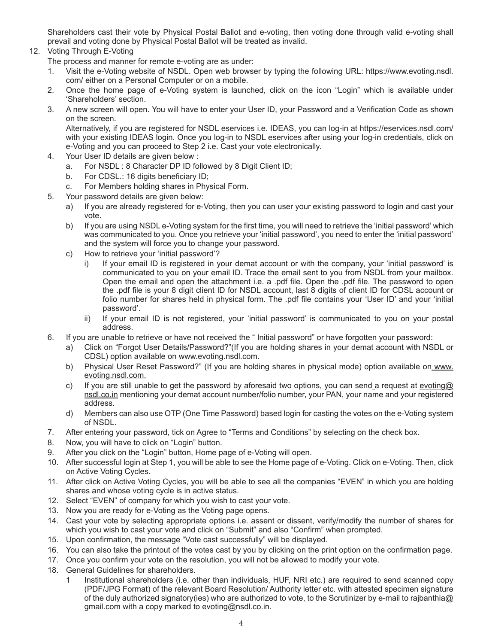Shareholders cast their vote by Physical Postal Ballot and e-voting, then voting done through valid e-voting shall prevail and voting done by Physical Postal Ballot will be treated as invalid.

# 12. Voting Through E-Voting

The process and manner for remote e-voting are as under:

- 1. Visit the e-Voting website of NSDL. Open web browser by typing the following URL: https://www.evoting.nsdl. com/ either on a Personal Computer or on a mobile.
- 2. Once the home page of e-Voting system is launched, click on the icon "Login" which is available under 'Shareholders' section.
- 3. A new screen will open. You will have to enter your User ID, your Password and a Verification Code as shown on the screen.

Alternatively, if you are registered for NSDL eservices i.e. IDEAS, you can log-in at https://eservices.nsdl.com/ with your existing IDEAS login. Once you log-in to NSDL eservices after using your log-in credentials, click on e-Voting and you can proceed to Step 2 i.e. Cast your vote electronically.

- 4. Your User ID details are given below :
	- a. For NSDL : 8 Character DP ID followed by 8 Digit Client ID;
	- b. For CDSL.: 16 digits beneficiary ID;
	- c. For Members holding shares in Physical Form.
- 5. Your password details are given below:
	- a) If you are already registered for e-Voting, then you can user your existing password to login and cast your vote.
	- b) If you are using NSDL e-Voting system for the first time, you will need to retrieve the 'initial password' which was communicated to you. Once you retrieve your 'initial password', you need to enter the 'initial password' and the system will force you to change your password.
	- c) How to retrieve your 'initial password'?
		- i) If your email ID is registered in your demat account or with the company, your 'initial password' is communicated to you on your email ID. Trace the email sent to you from NSDL from your mailbox. Open the email and open the attachment i.e. a .pdf file. Open the .pdf file. The password to open the .pdf file is your 8 digit client ID for NSDL account, last 8 digits of client ID for CDSL account or folio number for shares held in physical form. The .pdf file contains your 'User ID' and your 'initial password'.
		- ii) If your email ID is not registered, your 'initial password' is communicated to you on your postal address.
- 6. If you are unable to retrieve or have not received the " Initial password" or have forgotten your password:
	- a) Click on "Forgot User Details/Password?"(If you are holding shares in your demat account with NSDL or CDSL) option available on www.evoting.nsdl.com.
	- b) Physical User Reset Password?" (If you are holding shares in physical mode) option available on www. evoting.nsdl.com.
	- c) If you are still unable to get the password by aforesaid two options, you can send a request at evoting@ nsdl.co.in mentioning your demat account number/folio number, your PAN, your name and your registered address.
	- d) Members can also use OTP (One Time Password) based login for casting the votes on the e-Voting system of NSDL.
- 7. After entering your password, tick on Agree to "Terms and Conditions" by selecting on the check box.
- 8. Now, you will have to click on "Login" button.
- 9. After you click on the "Login" button, Home page of e-Voting will open.
- 10. After successful login at Step 1, you will be able to see the Home page of e-Voting. Click on e-Voting. Then, click on Active Voting Cycles.
- 11. After click on Active Voting Cycles, you will be able to see all the companies "EVEN" in which you are holding shares and whose voting cycle is in active status.
- 12. Select "EVEN" of company for which you wish to cast your vote.
- 13. Now you are ready for e-Voting as the Voting page opens.
- 14. Cast your vote by selecting appropriate options i.e. assent or dissent, verify/modify the number of shares for which you wish to cast your vote and click on "Submit" and also "Confirm" when prompted.
- 15. Upon confirmation, the message "Vote cast successfully" will be displayed.
- 16. You can also take the printout of the votes cast by you by clicking on the print option on the confirmation page.
- 17. Once you confirm your vote on the resolution, you will not be allowed to modify your vote.
- 18. General Guidelines for shareholders.
	- Institutional shareholders (i.e. other than individuals, HUF, NRI etc.) are required to send scanned copy (PDF/JPG Format) of the relevant Board Resolution/ Authority letter etc. with attested specimen signature of the duly authorized signatory(ies) who are authorized to vote, to the Scrutinizer by e-mail to rajbanthia@ gmail.com with a copy marked to evoting@nsdl.co.in.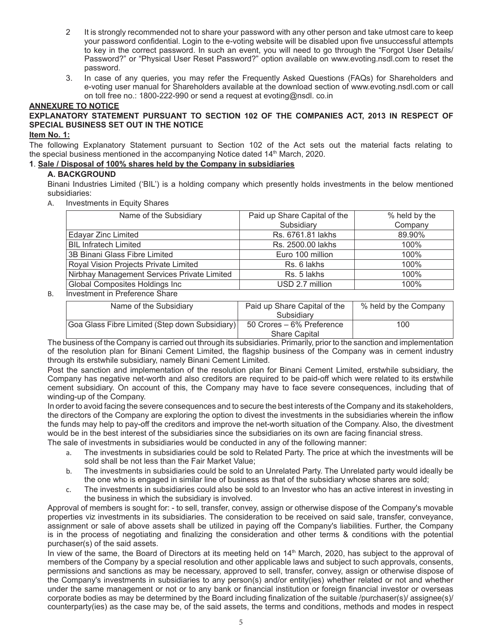- 2 It is strongly recommended not to share your password with any other person and take utmost care to keep your password confidential. Login to the e-voting website will be disabled upon five unsuccessful attempts to key in the correct password. In such an event, you will need to go through the "Forgot User Details/ Password?" or "Physical User Reset Password?" option available on www.evoting.nsdl.com to reset the password.
- 3. In case of any queries, you may refer the Frequently Asked Questions (FAQs) for Shareholders and e-voting user manual for Shareholders available at the download section of www.evoting.nsdl.com or call on toll free no.: 1800-222-990 or send a request at evoting@nsdl. co.in

#### **ANNEXURE TO NOTICE**

## **EXPLANATORY STATEMENT PURSUANT TO SECTION 102 OF THE COMPANIES ACT, 2013 IN RESPECT OF SPECIAL BUSINESS SET OUT IN THE NOTICE**

#### **Item No. 1:**

The following Explanatory Statement pursuant to Section 102 of the Act sets out the material facts relating to the special business mentioned in the accompanying Notice dated 14<sup>th</sup> March, 2020.

# **1**. **Sale / Disposal of 100% shares held by the Company in subsidiaries**

#### **A. BACKGROUND**

Binani Industries Limited ('BIL') is a holding company which presently holds investments in the below mentioned subsidiaries:

A. Investments in Equity Shares

| Name of the Subsidiary                      | Paid up Share Capital of the | % held by the |
|---------------------------------------------|------------------------------|---------------|
|                                             | Subsidiary                   | Company       |
| <b>Edayar Zinc Limited</b>                  | Rs. 6761.81 lakhs            | 89.90%        |
| <b>BIL Infratech Limited</b>                | Rs. 2500.00 lakhs            | 100%          |
| 3B Binani Glass Fibre Limited               | Euro 100 million             | 100%          |
| Royal Vision Projects Private Limited       | Rs. 6 lakhs                  | $100\%$       |
| Nirbhay Management Services Private Limited | Rs. 5 lakhs                  | 100%          |
| Global Composites Holdings Inc              | USD 2.7 million              | $100\%$       |

#### B. Investment in Preference Share

| Name of the Subsidiary                         | Paid up Share Capital of the | % held by the Company |
|------------------------------------------------|------------------------------|-----------------------|
|                                                | Subsidiary                   |                       |
| Goa Glass Fibre Limited (Step down Subsidiary) | 50 Crores – 6% Preference    | 100                   |
|                                                | <b>Share Capital</b>         |                       |

The business of the Company is carried out through its subsidiaries. Primarily, prior to the sanction and implementation of the resolution plan for Binani Cement Limited, the flagship business of the Company was in cement industry through its erstwhile subsidiary, namely Binani Cement Limited.

Post the sanction and implementation of the resolution plan for Binani Cement Limited, erstwhile subsidiary, the Company has negative net-worth and also creditors are required to be paid-off which were related to its erstwhile cement subsidiary. On account of this, the Company may have to face severe consequences, including that of winding-up of the Company.

In order to avoid facing the severe consequences and to secure the best interests of the Company and its stakeholders, the directors of the Company are exploring the option to divest the investments in the subsidiaries wherein the inflow the funds may help to pay-off the creditors and improve the net-worth situation of the Company. Also, the divestment would be in the best interest of the subsidiaries since the subsidiaries on its own are facing financial stress. The sale of investments in subsidiaries would be conducted in any of the following manner:

- a. The investments in subsidiaries could be sold to Related Party. The price at which the investments will be sold shall be not less than the Fair Market Value;
- b. The investments in subsidiaries could be sold to an Unrelated Party. The Unrelated party would ideally be the one who is engaged in similar line of business as that of the subsidiary whose shares are sold;
- c. The investments in subsidiaries could also be sold to an Investor who has an active interest in investing in the business in which the subsidiary is involved.

Approval of members is sought for: - to sell, transfer, convey, assign or otherwise dispose of the Company's movable properties viz investments in its subsidiaries. The consideration to be received on said sale, transfer, conveyance, assignment or sale of above assets shall be utilized in paying off the Company's liabilities. Further, the Company is in the process of negotiating and finalizing the consideration and other terms & conditions with the potential purchaser(s) of the said assets.

In view of the same, the Board of Directors at its meeting held on 14<sup>th</sup> March, 2020, has subject to the approval of members of the Company by a special resolution and other applicable laws and subject to such approvals, consents, permissions and sanctions as may be necessary, approved to sell, transfer, convey, assign or otherwise dispose of the Company's investments in subsidiaries to any person(s) and/or entity(ies) whether related or not and whether under the same management or not or to any bank or financial institution or foreign financial investor or overseas corporate bodies as may be determined by the Board including finalization of the suitable /purchaser(s)/ assignee(s)/ counterparty(ies) as the case may be, of the said assets, the terms and conditions, methods and modes in respect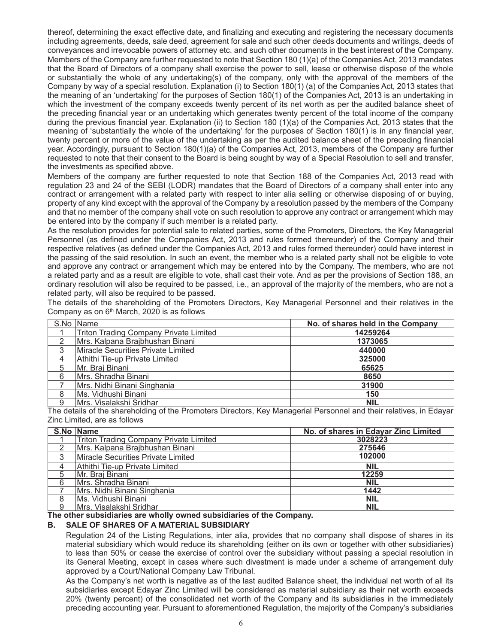thereof, determining the exact effective date, and finalizing and executing and registering the necessary documents including agreements, deeds, sale deed, agreement for sale and such other deeds documents and writings, deeds of conveyances and irrevocable powers of attorney etc. and such other documents in the best interest of the Company. Members of the Company are further requested to note that Section 180 (1)(a) of the Companies Act, 2013 mandates that the Board of Directors of a company shall exercise the power to sell, lease or otherwise dispose of the whole or substantially the whole of any undertaking(s) of the company, only with the approval of the members of the Company by way of a special resolution. Explanation (i) to Section 180(1) (a) of the Companies Act, 2013 states that the meaning of an 'undertaking' for the purposes of Section 180(1) of the Companies Act, 2013 is an undertaking in which the investment of the company exceeds twenty percent of its net worth as per the audited balance sheet of the preceding financial year or an undertaking which generates twenty percent of the total income of the company during the previous financial year. Explanation (ii) to Section 180 (1)(a) of the Companies Act, 2013 states that the meaning of 'substantially the whole of the undertaking' for the purposes of Section 180(1) is in any financial year, twenty percent or more of the value of the undertaking as per the audited balance sheet of the preceding financial year. Accordingly, pursuant to Section 180(1)(a) of the Companies Act, 2013, members of the Company are further requested to note that their consent to the Board is being sought by way of a Special Resolution to sell and transfer, the investments as specified above.

Members of the company are further requested to note that Section 188 of the Companies Act, 2013 read with regulation 23 and 24 of the SEBI (LODR) mandates that the Board of Directors of a company shall enter into any contract or arrangement with a related party with respect to inter alia selling or otherwise disposing of or buying, property of any kind except with the approval of the Company by a resolution passed by the members of the Company and that no member of the company shall vote on such resolution to approve any contract or arrangement which may be entered into by the company if such member is a related party.

As the resolution provides for potential sale to related parties, some of the Promoters, Directors, the Key Managerial Personnel (as defined under the Companies Act, 2013 and rules formed thereunder) of the Company and their respective relatives (as defined under the Companies Act, 2013 and rules formed thereunder) could have interest in the passing of the said resolution. In such an event, the member who is a related party shall not be eligible to vote and approve any contract or arrangement which may be entered into by the Company. The members, who are not a related party and as a result are eligible to vote, shall cast their vote. And as per the provisions of Section 188, an ordinary resolution will also be required to be passed, i.e., an approval of the majority of the members, who are not a related party, will also be required to be passed.

The details of the shareholding of the Promoters Directors, Key Managerial Personnel and their relatives in the Company as on  $6<sup>th</sup>$  March, 2020 is as follows

|   | S.No Name                                     | No. of shares held in the Company |
|---|-----------------------------------------------|-----------------------------------|
|   | <b>Triton Trading Company Private Limited</b> | 14259264                          |
|   | Mrs. Kalpana Brajbhushan Binani               | 1373065                           |
| 3 | Miracle Securities Private Limited            | 440000                            |
| 4 | Athithi Tie-up Private Limited                | 325000                            |
| 5 | Mr. Braj Binani                               | 65625                             |
| 6 | Mrs. Shradha Binani                           | 8650                              |
|   | Mrs. Nidhi Binani Singhania                   | 31900                             |
| 8 | Ms. Vidhushi Binani                           | 150                               |
| 9 | Mrs. Visalakshi Sridhar                       | <b>NIL</b>                        |

The details of the shareholding of the Promoters Directors, Key Managerial Personnel and their relatives, in Edayar Zinc Limited, are as follows

|   | S.No Name                                     | No. of shares in Edayar Zinc Limited |
|---|-----------------------------------------------|--------------------------------------|
|   | <b>Triton Trading Company Private Limited</b> | 3028223                              |
| ◠ | Mrs. Kalpana Brajbhushan Binani               | 275646                               |
| 3 | Miracle Securities Private Limited            | 102000                               |
| 4 | Athithi Tie-up Private Limited                | <b>NIL</b>                           |
| 5 | Mr. Braj Binani                               | 12259                                |
| 6 | Mrs. Shradha Binani                           | <b>NIL</b>                           |
|   | Mrs. Nidhi Binani Singhania                   | 1442                                 |
| 8 | Ms. Vidhushi Binani                           | <b>NIL</b>                           |
| 9 | Mrs. Visalakshi Sridhar                       | NIL                                  |

**The other subsidiaries are wholly owned subsidiaries of the Company.**

#### **B. SALE OF SHARES OF A MATERIAL SUBSIDIARY**

Regulation 24 of the Listing Regulations, inter alia, provides that no company shall dispose of shares in its material subsidiary which would reduce its shareholding (either on its own or together with other subsidiaries) to less than 50% or cease the exercise of control over the subsidiary without passing a special resolution in its General Meeting, except in cases where such divestment is made under a scheme of arrangement duly approved by a Court/National Company Law Tribunal.

As the Company's net worth is negative as of the last audited Balance sheet, the individual net worth of all its subsidiaries except Edayar Zinc Limited will be considered as material subsidiary as their net worth exceeds 20% (twenty percent) of the consolidated net worth of the Company and its subsidiaries in the immediately preceding accounting year. Pursuant to aforementioned Regulation, the majority of the Company's subsidiaries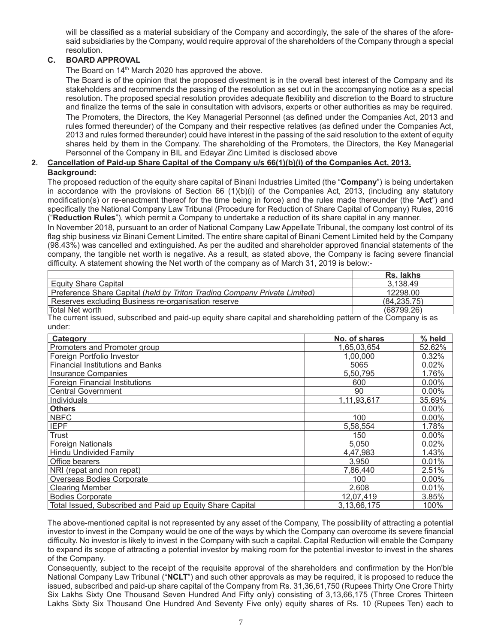will be classified as a material subsidiary of the Company and accordingly, the sale of the shares of the aforesaid subsidiaries by the Company, would require approval of the shareholders of the Company through a special resolution.

# **C. BOARD APPROVAL**

The Board on 14<sup>th</sup> March 2020 has approved the above.

The Board is of the opinion that the proposed divestment is in the overall best interest of the Company and its stakeholders and recommends the passing of the resolution as set out in the accompanying notice as a special resolution. The proposed special resolution provides adequate flexibility and discretion to the Board to structure and finalize the terms of the sale in consultation with advisors, experts or other authorities as may be required. The Promoters, the Directors, the Key Managerial Personnel (as defined under the Companies Act, 2013 and rules formed thereunder) of the Company and their respective relatives (as defined under the Companies Act, 2013 and rules formed thereunder) could have interest in the passing of the said resolution to the extent of equity shares held by them in the Company. The shareholding of the Promoters, the Directors, the Key Managerial Personnel of the Company in BIL and Edayar Zinc Limited is disclosed above

# **2. Cancellation of Paid-up Share Capital of the Company u/s 66(1)(b)(i) of the Companies Act, 2013.**

**Background:**

The proposed reduction of the equity share capital of Binani Industries Limited (the "**Company**") is being undertaken in accordance with the provisions of Section 66 (1)(b)(i) of the Companies Act, 2013, (including any statutory modification(s) or re-enactment thereof for the time being in force) and the rules made thereunder (the "**Act**") and specifically the National Company Law Tribunal (Procedure for Reduction of Share Capital of Company) Rules, 2016 ("**Reduction Rules**"), which permit a Company to undertake a reduction of its share capital in any manner.

In November 2018, pursuant to an order of National Company Law Appellate Tribunal, the company lost control of its flag ship business viz Binani Cement Limited. The entire share capital of Binani Cement Limited held by the Company (98.43%) was cancelled and extinguished. As per the audited and shareholder approved financial statements of the company, the tangible net worth is negative. As a result, as stated above, the Company is facing severe financial difficulty. A statement showing the Net worth of the company as of March 31, 2019 is below:-

|                                                                                                               | Rs. lakhs    |  |
|---------------------------------------------------------------------------------------------------------------|--------------|--|
| <b>Equity Share Capital</b>                                                                                   | 3.138.49     |  |
| Preference Share Capital (held by Triton Trading Company Private Limited)                                     | 12298.00     |  |
| Reserves excluding Business re-organisation reserve                                                           | (84, 235.75) |  |
| Total Net worth                                                                                               | (68799.26)   |  |
| The ourrent issued, subseribed and poid up equity share sepital and shareholding pattern of the Company is as |              |  |

The current issued, subscribed and paid-up equity share capital and shareholding pattern of the Company is as under:

| Category                                                  | No. of shares | % held   |
|-----------------------------------------------------------|---------------|----------|
| Promoters and Promoter group                              | 1,65,03,654   | 52.62%   |
| Foreign Portfolio Investor                                | 1.00.000      | 0.32%    |
| <b>Financial Institutions and Banks</b>                   | 5065          | 0.02%    |
| <b>Insurance Companies</b>                                | 5,50,795      | 1.76%    |
| <b>Foreign Financial Institutions</b>                     | 600           | $0.00\%$ |
| <b>Central Government</b>                                 | 90            | 0.00%    |
| Individuals                                               | 1,11,93,617   | 35.69%   |
| <b>Others</b>                                             |               | 0.00%    |
| <b>NBFC</b>                                               | 100           | $0.00\%$ |
| <b>IEPF</b>                                               | 5,58,554      | 1.78%    |
| Trust                                                     | 150           | 0.00%    |
| <b>Foreign Nationals</b>                                  | 5.050         | 0.02%    |
| <b>Hindu Undivided Family</b>                             | 4,47,983      | 1.43%    |
| Office bearers                                            | 3,950         | 0.01%    |
| NRI (repat and non repat)                                 | 7,86,440      | 2.51%    |
| Overseas Bodies Corporate                                 | 100           | 0.00%    |
| <b>Clearing Member</b>                                    | 2,608         | 0.01%    |
| <b>Bodies Corporate</b>                                   | 12,07,419     | 3.85%    |
| Total Issued, Subscribed and Paid up Equity Share Capital | 3,13,66,175   | 100%     |

The above-mentioned capital is not represented by any asset of the Company, The possibility of attracting a potential investor to invest in the Company would be one of the ways by which the Company can overcome its severe financial difficulty. No investor is likely to invest in the Company with such a capital. Capital Reduction will enable the Company to expand its scope of attracting a potential investor by making room for the potential investor to invest in the shares of the Company.

Consequently, subject to the receipt of the requisite approval of the shareholders and confirmation by the Hon'ble National Company Law Tribunal ("**NCLT**") and such other approvals as may be required, it is proposed to reduce the issued, subscribed and paid-up share capital of the Company from Rs. 31,36,61,750 (Rupees Thirty One Crore Thirty Six Lakhs Sixty One Thousand Seven Hundred And Fifty only) consisting of 3,13,66,175 (Three Crores Thirteen Lakhs Sixty Six Thousand One Hundred And Seventy Five only) equity shares of Rs. 10 (Rupees Ten) each to